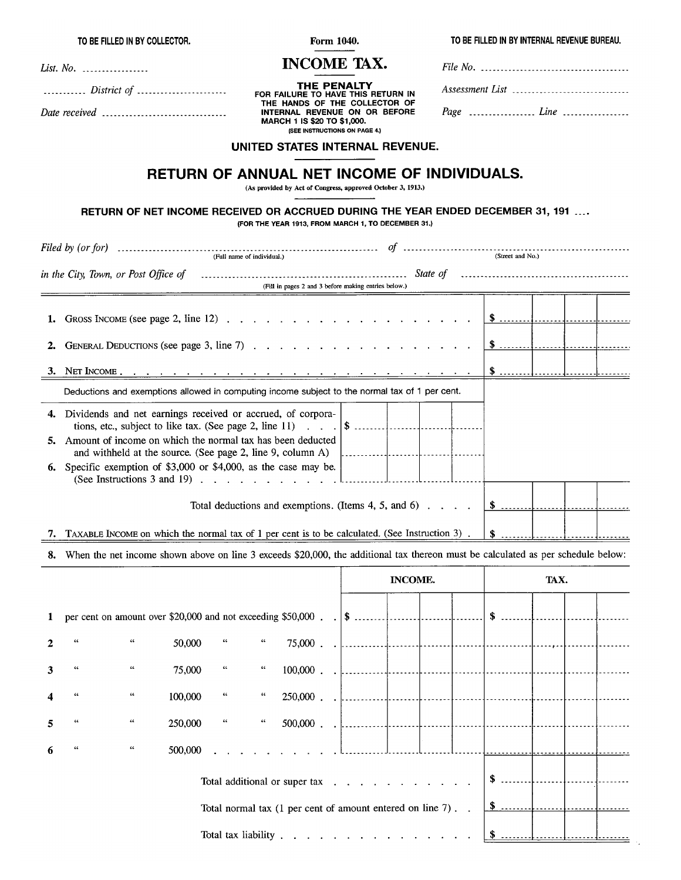TO BE FILLED IN BY COLLECTOR.

Form 1040. **INCOME TAX.**  TO BE FILLED IN BY INTERNAL REVENUE BUREAU.

| List. No.<br>-------- |  |  |  |  |  |
|-----------------------|--|--|--|--|--|
|-----------------------|--|--|--|--|--|

............ District of ........................ Date received ................................

**THE PENALTY**<br>FOR FAILURE TO HAVE THIS RETURN IN THE HANDS OF THE COLLECTOR OF INTERNAL REVENUE ON OR BEFORE MARCH 1 IS \$20 TO \$1,000. (SEE INSTRUCTIONS ON PAGE 4.)

| Assessment List _______________________________ |
|-------------------------------------------------|
|                                                 |

÷.,

#### UNITED STATES INTERNAL REVENUE.

# RETURN OF ANNUAL NET INCOME OF INDIVIDUALS.

(As provided by Act of Congress, approved October 3, 1913.)

## RETURN OF NET INCOME RECEIVED OR ACCRUED DURING THE YEAR ENDED DECEMBER 31, 191 ....

(FOR THE YEAR 1913, FROM MARCH 1, TO DECEMBER 31.)

|    | in the City, Town, or Post Office of contained and contained according state of contained and contained and the                     |                                                      |  |  |
|----|-------------------------------------------------------------------------------------------------------------------------------------|------------------------------------------------------|--|--|
|    |                                                                                                                                     | (Fill in pages 2 and 3 before making entries below.) |  |  |
|    |                                                                                                                                     |                                                      |  |  |
|    |                                                                                                                                     |                                                      |  |  |
|    |                                                                                                                                     |                                                      |  |  |
| 2. |                                                                                                                                     |                                                      |  |  |
|    |                                                                                                                                     |                                                      |  |  |
|    |                                                                                                                                     |                                                      |  |  |
|    | Deductions and exemptions allowed in computing income subject to the normal tax of 1 per cent.                                      |                                                      |  |  |
|    | 4. Dividends and net earnings received or accrued, of corpora-                                                                      |                                                      |  |  |
|    |                                                                                                                                     |                                                      |  |  |
|    | 5. Amount of income on which the normal tax has been deducted                                                                       |                                                      |  |  |
|    | and withheld at the source. (See page 2, line 9, column A) $\parallel$                                                              |                                                      |  |  |
|    | 6. Specific exemption of \$3,000 or \$4,000, as the case may be.                                                                    |                                                      |  |  |
|    | (See Instructions 3 and 19) $\ldots$ $\ldots$ $\ldots$ $\ldots$ $\ldots$ $\ldots$                                                   |                                                      |  |  |
|    | Total deductions and exemptions. (Items 4, 5, and 6) $\ldots$ $\uparrow$ $\uparrow$ $\uparrow$                                      |                                                      |  |  |
|    |                                                                                                                                     |                                                      |  |  |
|    | 7. TAXABLE INCOME on which the normal tax of 1 per cent is to be calculated. (See Instruction 3).                                   |                                                      |  |  |
|    | 8. When the net income shown above on line 3 exceeds \$20,000, the additional tax thereon must be calculated as per schedule below: |                                                      |  |  |
|    |                                                                                                                                     |                                                      |  |  |

|                  |    |                                |         |                    |                    |                                                            | INCOME. |  |  |  | TAX.          |  |  |
|------------------|----|--------------------------------|---------|--------------------|--------------------|------------------------------------------------------------|---------|--|--|--|---------------|--|--|
| $\mathbf{1}$     |    |                                |         |                    |                    |                                                            |         |  |  |  | \$            |  |  |
| $\mathbf{2}$     | 66 | $\epsilon\epsilon$             | 50,000  | $\epsilon$         | $\epsilon\epsilon$ |                                                            |         |  |  |  |               |  |  |
| 3                | 66 | $\epsilon\epsilon$             | 75,000  | $\epsilon\epsilon$ | $\overline{44}$    |                                                            |         |  |  |  |               |  |  |
| $\boldsymbol{4}$ | 44 | $\boldsymbol{\epsilon}$        | 100,000 | $\epsilon\epsilon$ | $\epsilon\epsilon$ |                                                            |         |  |  |  |               |  |  |
| 5                | 66 | $\pmb{\epsilon}\pmb{\epsilon}$ | 250,000 | $\alpha_{\rm c}$   |                    |                                                            |         |  |  |  |               |  |  |
| 6                | 66 | $\epsilon\epsilon$             | 500,000 |                    |                    |                                                            |         |  |  |  |               |  |  |
|                  |    |                                |         |                    |                    | Total additional or super tax                              |         |  |  |  | $$$           |  |  |
|                  |    |                                |         |                    |                    | Total normal tax (1 per cent of amount entered on line 7). |         |  |  |  | $\frac{1}{2}$ |  |  |
|                  |    |                                |         |                    |                    | Total tax liability                                        |         |  |  |  |               |  |  |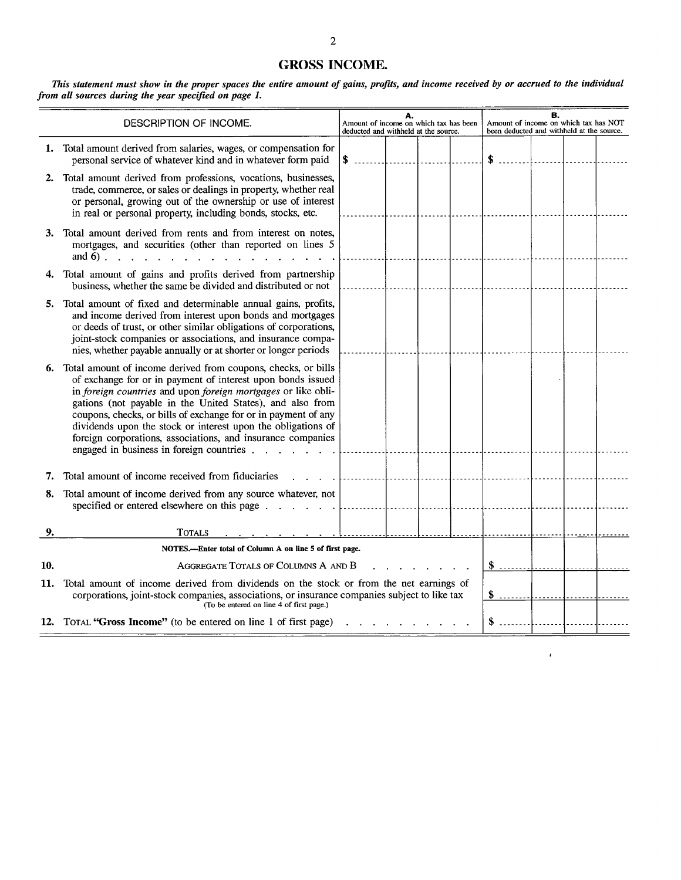# **GROSS INCOME.**

This statement must show in the proper spaces the entire amount of gains, profits, and income received by or accrued to the individual from all sources during the year specified on page 1.

|     | DESCRIPTION OF INCOME.                                                                                                                                                                                                                                                                                                                                                                                                                                                                                      | В.<br>А.<br>Amount of income on which tax has NOT<br>Amount of income on which tax has been<br>been deducted and withheld at the source.<br>deducted and withheld at the source. |  |  |  |  |  |  |
|-----|-------------------------------------------------------------------------------------------------------------------------------------------------------------------------------------------------------------------------------------------------------------------------------------------------------------------------------------------------------------------------------------------------------------------------------------------------------------------------------------------------------------|----------------------------------------------------------------------------------------------------------------------------------------------------------------------------------|--|--|--|--|--|--|
|     | 1. Total amount derived from salaries, wages, or compensation for<br>personal service of whatever kind and in whatever form paid                                                                                                                                                                                                                                                                                                                                                                            | \$                                                                                                                                                                               |  |  |  |  |  |  |
|     | 2. Total amount derived from professions, vocations, businesses,<br>trade, commerce, or sales or dealings in property, whether real<br>or personal, growing out of the ownership or use of interest<br>in real or personal property, including bonds, stocks, etc.                                                                                                                                                                                                                                          |                                                                                                                                                                                  |  |  |  |  |  |  |
|     | 3. Total amount derived from rents and from interest on notes,<br>mortgages, and securities (other than reported on lines 5<br>and $6$ ).                                                                                                                                                                                                                                                                                                                                                                   |                                                                                                                                                                                  |  |  |  |  |  |  |
|     | 4. Total amount of gains and profits derived from partnership<br>business, whether the same be divided and distributed or not                                                                                                                                                                                                                                                                                                                                                                               |                                                                                                                                                                                  |  |  |  |  |  |  |
|     | 5. Total amount of fixed and determinable annual gains, profits,<br>and income derived from interest upon bonds and mortgages<br>or deeds of trust, or other similar obligations of corporations,<br>joint-stock companies or associations, and insurance compa-<br>nies, whether payable annually or at shorter or longer periods                                                                                                                                                                          |                                                                                                                                                                                  |  |  |  |  |  |  |
|     | 6. Total amount of income derived from coupons, checks, or bills<br>of exchange for or in payment of interest upon bonds issued<br>in foreign countries and upon foreign mortgages or like obli-<br>gations (not payable in the United States), and also from<br>coupons, checks, or bills of exchange for or in payment of any<br>dividends upon the stock or interest upon the obligations of<br>foreign corporations, associations, and insurance companies<br>engaged in business in foreign countries. |                                                                                                                                                                                  |  |  |  |  |  |  |
| 7.  | Total amount of income received from fiduciaries                                                                                                                                                                                                                                                                                                                                                                                                                                                            |                                                                                                                                                                                  |  |  |  |  |  |  |
| 8.  | Total amount of income derived from any source whatever, not<br>specified or entered elsewhere on this page                                                                                                                                                                                                                                                                                                                                                                                                 |                                                                                                                                                                                  |  |  |  |  |  |  |
| 9.  | <b>TOTALS</b>                                                                                                                                                                                                                                                                                                                                                                                                                                                                                               |                                                                                                                                                                                  |  |  |  |  |  |  |
|     | NOTES.---Enter total of Column A on line 5 of first page.                                                                                                                                                                                                                                                                                                                                                                                                                                                   |                                                                                                                                                                                  |  |  |  |  |  |  |
| 10. | AGGREGATE TOTALS OF COLUMNS A AND B                                                                                                                                                                                                                                                                                                                                                                                                                                                                         |                                                                                                                                                                                  |  |  |  |  |  |  |
| 11. | Total amount of income derived from dividends on the stock or from the net earnings of<br>corporations, joint-stock companies, associations, or insurance companies subject to like tax<br>(To be entered on line 4 of first page.)                                                                                                                                                                                                                                                                         |                                                                                                                                                                                  |  |  |  |  |  |  |
|     | 12. TOTAL "Gross Income" (to be entered on line 1 of first page)                                                                                                                                                                                                                                                                                                                                                                                                                                            |                                                                                                                                                                                  |  |  |  |  |  |  |

 $\bar{t}$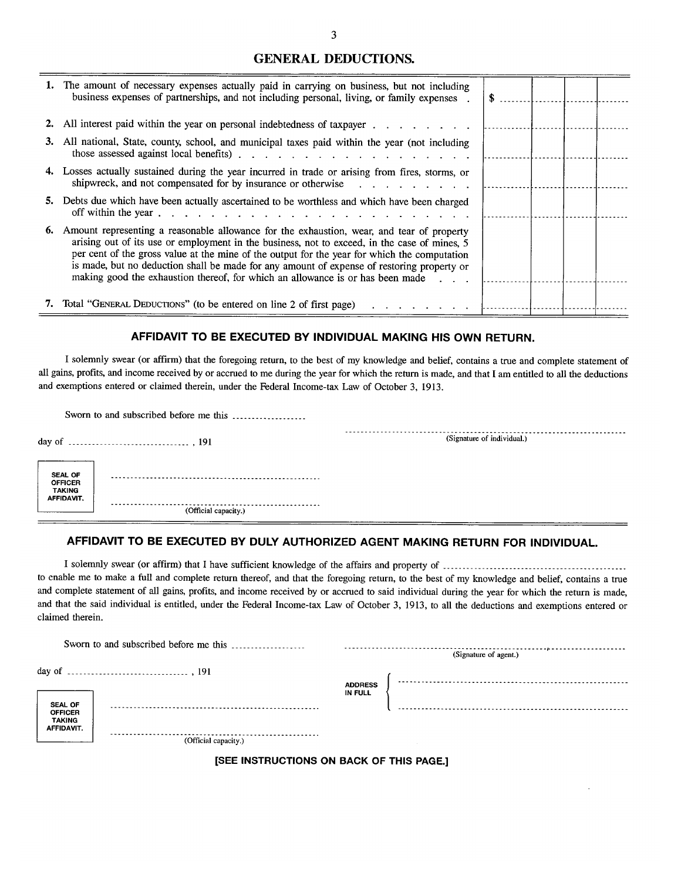## **GENERAL DEDUCTIONS.**

|    | 1. The amount of necessary expenses actually paid in carrying on business, but not including<br>business expenses of partnerships, and not including personal, living, or family expenses.                                                                                                                                                                                                                                                                                | S |  |  |
|----|---------------------------------------------------------------------------------------------------------------------------------------------------------------------------------------------------------------------------------------------------------------------------------------------------------------------------------------------------------------------------------------------------------------------------------------------------------------------------|---|--|--|
|    | 2. All interest paid within the year on personal indebtedness of taxpayer                                                                                                                                                                                                                                                                                                                                                                                                 |   |  |  |
| 3. | All national, State, county, school, and municipal taxes paid within the year (not including                                                                                                                                                                                                                                                                                                                                                                              |   |  |  |
|    | 4. Losses actually sustained during the year incurred in trade or arising from fires, storms, or<br>shipwreck, and not compensated for by insurance or otherwise                                                                                                                                                                                                                                                                                                          |   |  |  |
|    | 5. Debts due which have been actually ascertained to be worthless and which have been charged<br>off within the year $\ldots$ $\ldots$ $\ldots$ $\ldots$ $\ldots$ $\ldots$ $\ldots$ $\ldots$ $\ldots$ $\ldots$                                                                                                                                                                                                                                                            |   |  |  |
| 6. | Amount representing a reasonable allowance for the exhaustion, wear, and tear of property<br>arising out of its use or employment in the business, not to exceed, in the case of mines, 5<br>per cent of the gross value at the mine of the output for the year for which the computation<br>is made, but no deduction shall be made for any amount of expense of restoring property or<br>making good the exhaustion thereof, for which an allowance is or has been made |   |  |  |
|    | 7. Total "GENERAL DEDUCTIONS" (to be entered on line 2 of first page)                                                                                                                                                                                                                                                                                                                                                                                                     |   |  |  |

### AFFIDAVIT TO BE EXECUTED BY INDIVIDUAL MAKING HIS OWN RETURN.

I solemnly swear (or affirm) that the foregoing return, to the best of my knowledge and belief, contains a true and complete statement of all gains, profits, and income received by or accrued to me during the year for which the return is made, and that I am entitled to all the deductions and exemptions entered or claimed therein, under the Federal Income-tax Law of October 3, 1913.

|                                                          | Sworn to and subscribed before me this |                            |
|----------------------------------------------------------|----------------------------------------|----------------------------|
|                                                          |                                        | (Signature of individual.) |
| <b>SEAL OF</b><br><b>OFFICER</b><br>TAKING<br>AFFIDAVIT. |                                        |                            |
|                                                          | .<br>(Official capacity.)              |                            |

## AFFIDAVIT TO BE EXECUTED BY DULY AUTHORIZED AGENT MAKING RETURN FOR INDIVIDUAL.

to enable me to make a full and complete return thereof, and that the foregoing return, to the best of my knowledge and belief, contains a true and complete statement of all gains, profits, and income received by or accrued to said individual during the year for which the return is made, and that the said individual is entitled, under the Federal Income-tax Law of October 3, 1913, to all the deductions and exemptions entered or claimed therein.

|                                                      | Sworn to and subscribed before me this |                                  |  |  |  |  |  |
|------------------------------------------------------|----------------------------------------|----------------------------------|--|--|--|--|--|
|                                                      |                                        | (Signature of agent.)            |  |  |  |  |  |
|                                                      |                                        |                                  |  |  |  |  |  |
| <b>SEAL OF</b>                                       |                                        | <b>ADDRESS</b><br><b>IN FULL</b> |  |  |  |  |  |
| <b>OFFICER</b><br><b>TAKING</b><br><b>AFFIDAVIT.</b> |                                        |                                  |  |  |  |  |  |
|                                                      | (Official capacity.)                   |                                  |  |  |  |  |  |

#### [SEE INSTRUCTIONS ON BACK OF THIS PAGE.]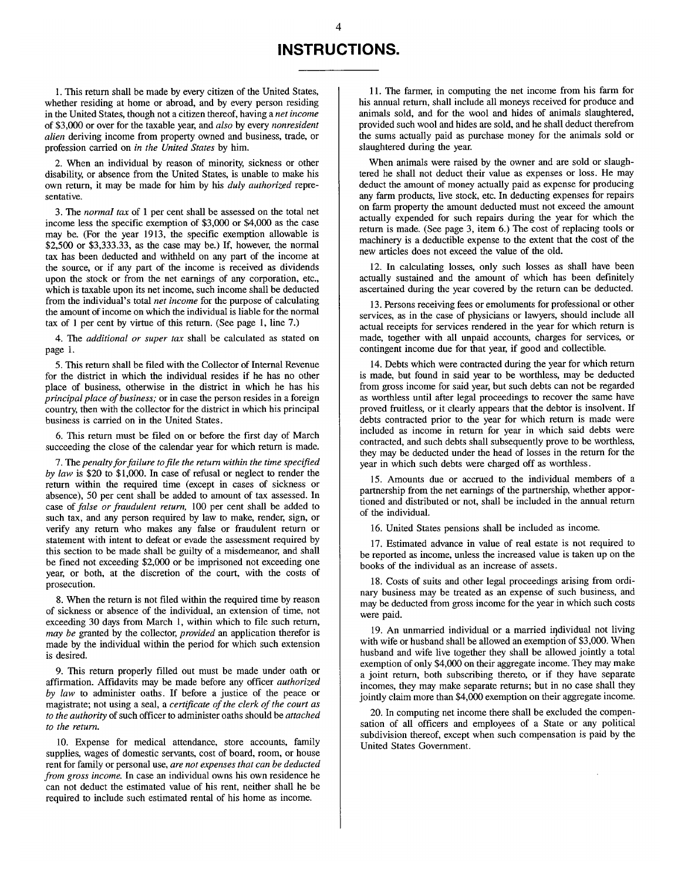# **INSTRUCTIONS.**

1. This return shall be made by every citizen of the United States, whether residing at home or abroad, and by every person residing in the United States, though not a citizen thereof, having a net income of \$3,000 or over for the taxable year, and also by every nonresident *alien* deriving income from property owned and business, trade, or profession carried on in the United States by him.

2. When an individual by reason of minority, sickness or other disability, or absence from the United States, is unable to make his own return, it may be made for him by his *duly authorized* representative.

3. The *normal tax* of 1 per cent shall be assessed on the total net income less the specific exemption of \$3,000 or \$4,000 as the case may be. (For the year 1913, the specific exemption allowable is \$2,500 or \$3,333.33, as the case may be.) If, however, the normal tax has been deducted and withheld on any part of the income at the source, or if any part of the income is received as dividends upon the stock or from the net earnings of any corporation, etc., which is taxable upon its net income, such income shall be deducted from the individual's total net income for the purpose of calculating the amount of income on which the individual is liable for the normal tax of 1 per cent by virtue of this return. (See page 1, line 7.)

4. The additional or super tax shall be calculated as stated on page 1.

5. This return shall be filed with the Collector of Internal Revenue for the district in which the individual resides if he has no other place of business, otherwise in the district in which he has his principal place of business; or in case the person resides in a foreign country, then with the collector for the district in which his principal business is carried on in the United States.

6. This return must be filed on or before the first day of March succeeding the close of the calendar year for which return is made.

7. The penalty for failure to file the return within the time specified by law is \$20 to \$1,000. In case of refusal or neglect to render the return within the required time (except in cases of sickness or absence), 50 per cent shall be added to amount of tax assessed. In case of false or fraudulent return, 100 per cent shall be added to such tax, and any person required by law to make, render, sign, or verify any return who makes any false or fraudulent return or statement with intent to defeat or evade the assessment required by this section to be made shall be guilty of a misdemeanor, and shall be fined not exceeding \$2,000 or be imprisoned not exceeding one year, or both, at the discretion of the court, with the costs of prosecution.

8. When the return is not filed within the required time by reason of sickness or absence of the individual, an extension of time, not exceeding 30 days from March 1, within which to file such return, may be granted by the collector, provided an application therefor is made by the individual within the period for which such extension is desired.

9. This return properly filled out must be made under oath or affirmation. Affidavits may be made before any officer authorized by law to administer oaths. If before a justice of the peace or magistrate; not using a seal, a certificate of the clerk of the court as to the authority of such officer to administer oaths should be attached to the return.

10. Expense for medical attendance, store accounts, family supplies, wages of domestic servants, cost of board, room, or house rent for family or personal use, are not expenses that can be deducted from gross income. In case an individual owns his own residence he can not deduct the estimated value of his rent, neither shall he be required to include such estimated rental of his home as income.

11. The farmer, in computing the net income from his farm for his annual return, shall include all moneys received for produce and animals sold, and for the wool and hides of animals slaughtered, provided such wool and hides are sold, and he shall deduct therefrom the sums actually paid as purchase money for the animals sold or slaughtered during the year.

When animals were raised by the owner and are sold or slaughtered he shall not deduct their value as expenses or loss. He may deduct the amount of money actually paid as expense for producing any farm products, live stock, etc. In deducting expenses for repairs on farm property the amount deducted must not exceed the amount actually expended for such repairs during the year for which the return is made. (See page 3, item 6.) The cost of replacing tools or machinery is a deductible expense to the extent that the cost of the new articles does not exceed the value of the old.

12. In calculating losses, only such losses as shall have been actually sustained and the amount of which has been definitely ascertained during the year covered by the return can be deducted.

13. Persons receiving fees or emoluments for professional or other services, as in the case of physicians or lawyers, should include all actual receipts for services rendered in the year for which return is made, together with all unpaid accounts, charges for services, or contingent income due for that year, if good and collectible.

14. Debts which were contracted during the year for which return is made, but found in said year to be worthless, may be deducted from gross income for said year, but such debts can not be regarded as worthless until after legal proceedings to recover the same have proved fruitless, or it clearly appears that the debtor is insolvent. If debts contracted prior to the year for which return is made were included as income in return for year in which said debts were contracted, and such debts shall subsequently prove to be worthless, they may be deducted under the head of losses in the return for the year in which such debts were charged off as worthless.

15. Amounts due or accrued to the individual members of a partnership from the net earnings of the partnership, whether apportioned and distributed or not, shall be included in the annual return of the individual.

16. United States pensions shall be included as income.

17. Estimated advance in value of real estate is not required to be reported as income, unless the increased value is taken up on the books of the individual as an increase of assets.

18. Costs of suits and other legal proceedings arising from ordinary business may be treated as an expense of such business, and may be deducted from gross income for the year in which such costs were paid.

19. An unmarried individual or a married individual not living with wife or husband shall be allowed an exemption of \$3,000. When husband and wife live together they shall be allowed jointly a total exemption of only \$4,000 on their aggregate income. They may make a joint return, both subscribing thereto, or if they have separate incomes, they may make separate returns; but in no case shall they jointly claim more than \$4,000 exemption on their aggregate income.

20. In computing net income there shall be excluded the compensation of all officers and employees of a State or any political subdivision thereof, except when such compensation is paid by the United States Government.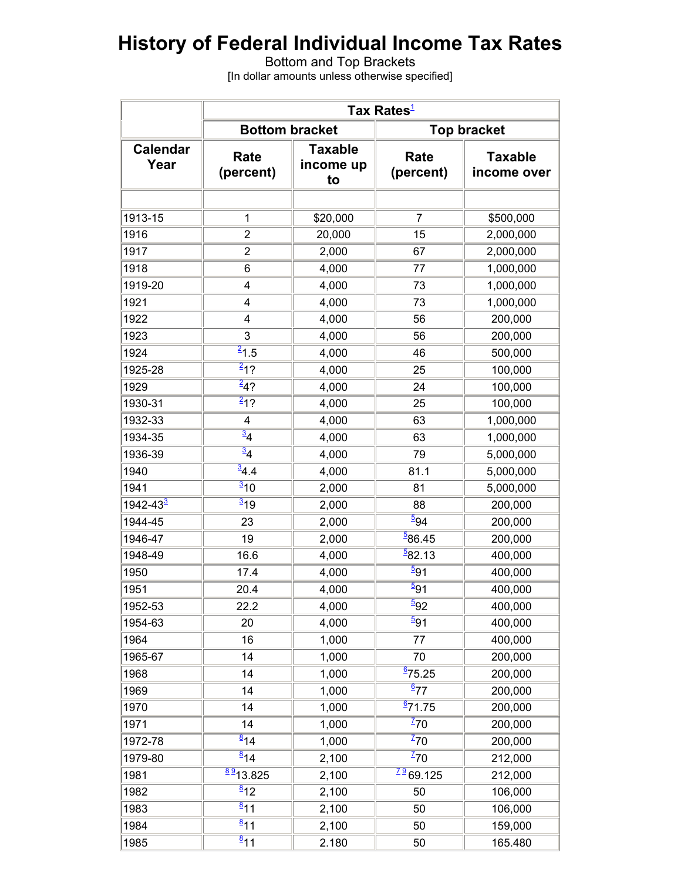# **History of Federal Individual Income Tax Rates**

Bottom and Top Brackets [In dollar amounts unless otherwise specified]

|                         |                               |                                   | Tax Rates <sup>1</sup>     |                               |  |  |
|-------------------------|-------------------------------|-----------------------------------|----------------------------|-------------------------------|--|--|
|                         |                               | <b>Bottom bracket</b>             | <b>Top bracket</b>         |                               |  |  |
| <b>Calendar</b><br>Year | <b>Rate</b><br>(percent)      | <b>Taxable</b><br>income up<br>to | Rate<br>(percent)          | <b>Taxable</b><br>income over |  |  |
| 1913-15                 | 1                             | \$20,000                          | $\overline{7}$             | \$500,000                     |  |  |
| 1916                    | $\overline{2}$                | 20,000                            | 15                         | 2,000,000                     |  |  |
| 1917                    | $\overline{2}$                | 2,000                             | 67                         | 2,000,000                     |  |  |
| 1918                    | 6                             | 4,000                             | 77                         | 1,000,000                     |  |  |
| 1919-20                 | 4                             | 4,000                             | 73                         | 1,000,000                     |  |  |
| 1921                    | 4                             | 4,000                             | 73                         | 1,000,000                     |  |  |
| 1922                    | 4                             | 4,000                             | 56                         | 200,000                       |  |  |
| 1923                    | 3                             | 4,000                             | 56                         | 200,000                       |  |  |
| 1924                    | $\overline{21}$ .5            |                                   | 46                         |                               |  |  |
| 1925-28                 | $\frac{2}{1}$ ?               | 4,000                             | 25                         | 500,000<br>100,000            |  |  |
| 1929                    | $\frac{2}{4}$ ?               | 4,000                             | 24                         |                               |  |  |
| 1930-31                 | $\overline{212}$              | 4,000                             | 25                         | 100,000<br>100,000            |  |  |
|                         |                               | 4,000                             |                            |                               |  |  |
| 1932-33                 | 4<br>$\overline{\frac{3}{4}}$ | 4,000                             | 63                         | 1,000,000                     |  |  |
| 1934-35                 | $\overline{34}$               | 4,000                             | 63                         | 1,000,000                     |  |  |
| 1936-39                 | $\overline{\frac{3}{4}}$ .4   | 4,000                             | 79                         | 5,000,000                     |  |  |
| 1940                    | $\frac{3}{10}$                | 4,000                             | 81.1                       | 5,000,000                     |  |  |
| 1941                    |                               | 2,000                             | 81                         | 5,000,000                     |  |  |
| 1942-43 <sup>3</sup>    | $\overline{3}$ 19             | 2,000                             | 88                         | 200,000                       |  |  |
| 1944-45                 | 23                            | 2,000                             | $\frac{5}{94}$             | 200,000                       |  |  |
| 1946-47                 | 19                            | 2,000                             | $\frac{5}{6}86.45$         | 200,000                       |  |  |
| 1948-49                 | 16.6                          | 4,000                             | $\frac{5}{2}82.13$         | 400,000                       |  |  |
| 1950                    | 17.4                          | 4,000                             | $\frac{5}{91}$             | 400,000                       |  |  |
| 1951                    | 20.4                          | 4,000                             | $\overline{\frac{5}{9}}$ 1 | 400,000                       |  |  |
| 1952-53                 | 22.2                          | 4,000                             | $\overline{\frac{5}{92}}$  | 400,000                       |  |  |
| 1954-63                 | 20                            | 4,000                             | $\overline{5}91$           | 400,000                       |  |  |
| 1964                    | 16                            | 1,000                             | 77                         | 400,000                       |  |  |
| 1965-67                 | 14                            | 1,000                             | 70                         | 200,000                       |  |  |
| 1968                    | 14                            | 1,000                             | $\frac{6}{2}$ 75.25        | 200,000                       |  |  |
| 1969                    | 14                            | 1,000                             | $\frac{6}{77}$             | 200,000                       |  |  |
| 1970                    | 14                            | 1,000                             | $\frac{6}{2}$ 71.75        | 200,000                       |  |  |
| 1971                    | 14                            | 1,000                             | $\frac{7}{2}$ 70           | 200,000                       |  |  |
| 1972-78                 | $\overline{8}_{14}$           | 1,000                             | $\frac{7}{2}$ 70           | 200,000                       |  |  |
| 1979-80                 | $\overline{814}$              | 2,100                             | $\overline{^{2}70}$        | 212,000                       |  |  |
| 1981                    | $\frac{89}{213.825}$          | 2,100                             | $\frac{79}{69}$ .125       | 212,000                       |  |  |
| 1982                    | $\frac{8}{2}$ 12              | 2,100                             | 50                         | 106,000                       |  |  |
| 1983                    | $\overline{\frac{8}{1}}$ 1    | 2,100                             | 50                         | 106,000                       |  |  |
| 1984                    | $\overline{\frac{8}{11}}$     | 2,100                             | 50                         | 159,000                       |  |  |
| 1985                    | $\frac{8}{11}$                | 2.180                             | 50                         | 165.480                       |  |  |